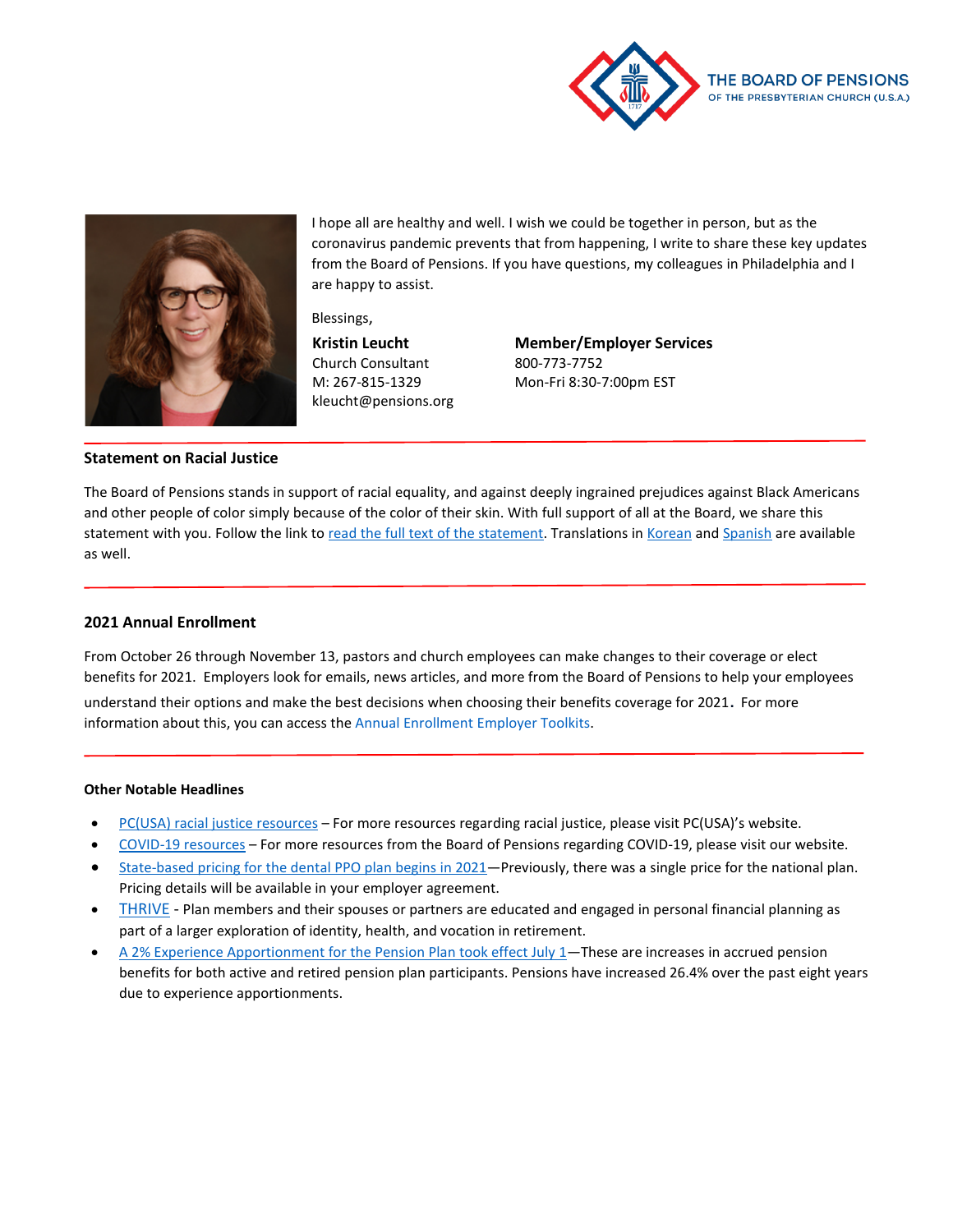



I hope all are healthy and well. I wish we could be together in person, but as the coronavirus pandemic prevents that from happening, I write to share these key updates from the Board of Pensions. If you have questions, my colleagues in Philadelphia and I are happy to assist.

Blessings,

**Kristin Leucht** Church Consultant M: 267-815-1329 kleucht@pensions.org **Member/Employer Services** 800-773-7752 Mon-Fri 8:30-7:00pm EST

## **Statement on Racial Justice**

The Board of Pensions stands in support of racial equality, and against deeply ingrained prejudices against Black Americans and other people of color simply because of the color of their skin. With full support of all at the Board, we share this statement with you. Follow the link to [read the full text of the statement.](http://www.pensions.org/news-and-events/articles/Board-of-Pensions-statement-racial-justice) Translations in [Korean](http://www.pensions.org/news-and-events/articles/board-of-pensions-statement-racial-justice-korean) an[d Spanish](http://www.pensions.org/news-and-events/articles/board-of-pensions-statement-racial-justice-spanish) are available as well.

### **2021 Annual Enrollment**

From October 26 through November 13, pastors and church employees can make changes to their coverage or elect benefits for 2021. Employers look for emails, news articles, and more from the Board of Pensions to help your employees understand their options and make the best decisions when choosing their benefits coverage for 2021. For more information about this, you can access the Annual Enrollment Employer Toolkits.

#### **Other Notable Headlines**

- [PC\(USA\) racial justice resources](https://www.pcusa.org/racial-justice-resources/) For more resources regarding racial justice, please visit PC(USA)'s website.
- [COVID-19 resources](https://www.pensions.org/what-we-offer/benefits-guidance/Coronavirus-resources) For more resources from the Board of Pensions regarding COVID-19, please visit our website.
- [State-based pricing for the dental PPO plan begins in 2021—](http://www.pensions.org/news-and-events/articles/state-based-pricing-for-dental-ppo-takes-effect-in-2021)Previously, there was a single price for the national plan. Pricing details will be available in your employer agreement.
- [THRIVE](https://www.pensions.org/your-path-to-wholeness/lifelong-learning-through-board-university/seminars/THRIVE) Plan members and their spouses or partners are educated and engaged in personal financial planning as part of a larger exploration of identity, health, and vocation in retirement.
- [A 2% Experience Apportionment for the Pension Plan took effect July 1—](http://www.pensions.org/news-and-events/articles/2-percent-experience-apportionment-for-pension-plan-effective-July-1)These are increases in accrued pension benefits for both active and retired pension plan participants. Pensions have increased 26.4% over the past eight years due to experience apportionments.